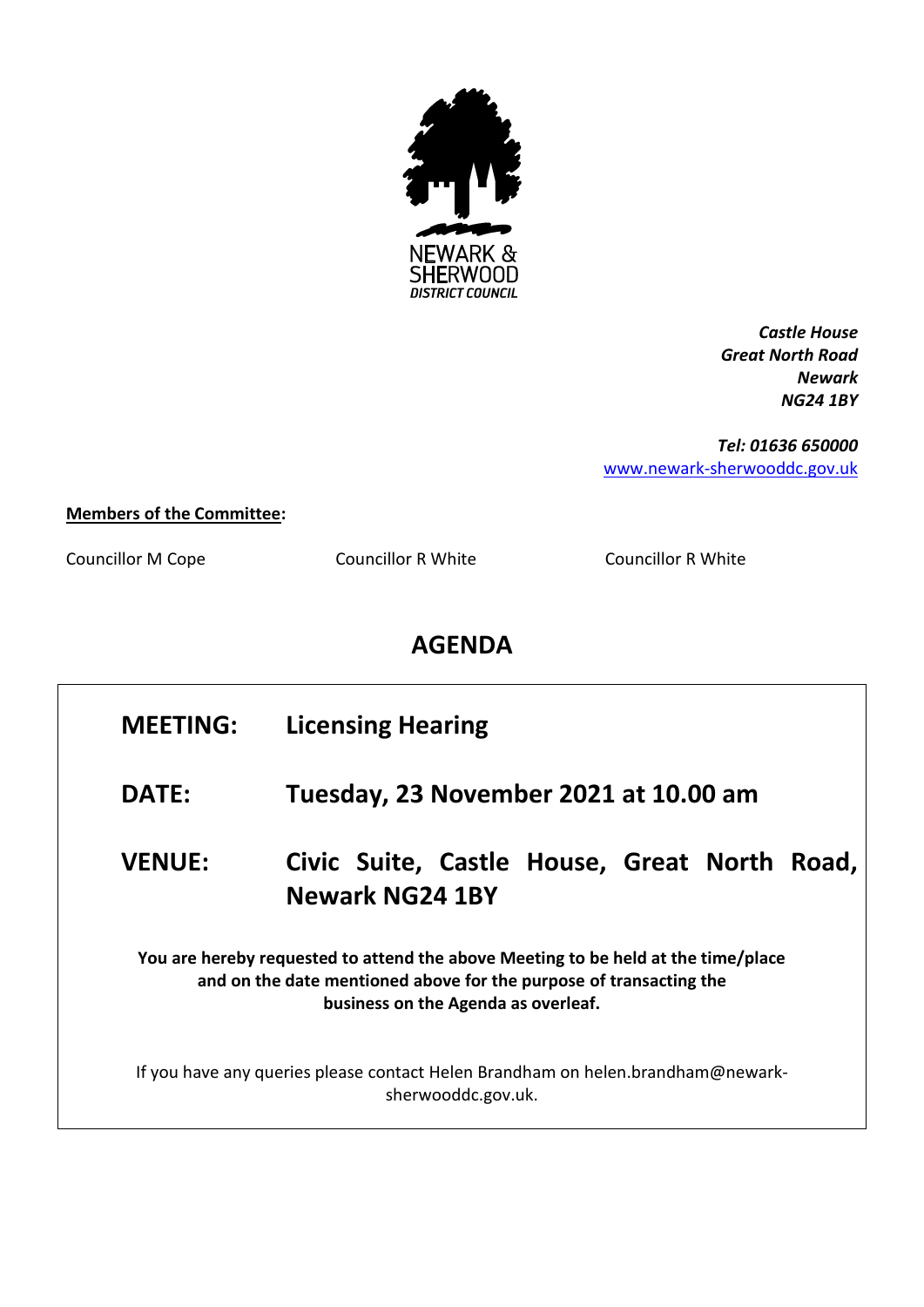

*Castle House Great North Road Newark NG24 1BY*

*Tel: 01636 650000* [www.newark-sherwooddc.gov.uk](http://www.newark-sherwooddc.gov.uk/)

## **Members of the Committee:**

Councillor M Cope Councillor R White Councillor R White

## **AGENDA**

| <b>MEETING:</b>                                                                                                                                                                                | <b>Licensing Hearing</b>                                                  |  |
|------------------------------------------------------------------------------------------------------------------------------------------------------------------------------------------------|---------------------------------------------------------------------------|--|
| <b>DATE:</b>                                                                                                                                                                                   | Tuesday, 23 November 2021 at 10.00 am                                     |  |
| <b>VENUE:</b>                                                                                                                                                                                  | Civic Suite, Castle House, Great North<br>Road,<br><b>Newark NG24 1BY</b> |  |
| You are hereby requested to attend the above Meeting to be held at the time/place<br>and on the date mentioned above for the purpose of transacting the<br>business on the Agenda as overleaf. |                                                                           |  |
| If you have any queries please contact Helen Brandham on helen.brandham@newark-<br>sherwooddc.gov.uk.                                                                                          |                                                                           |  |